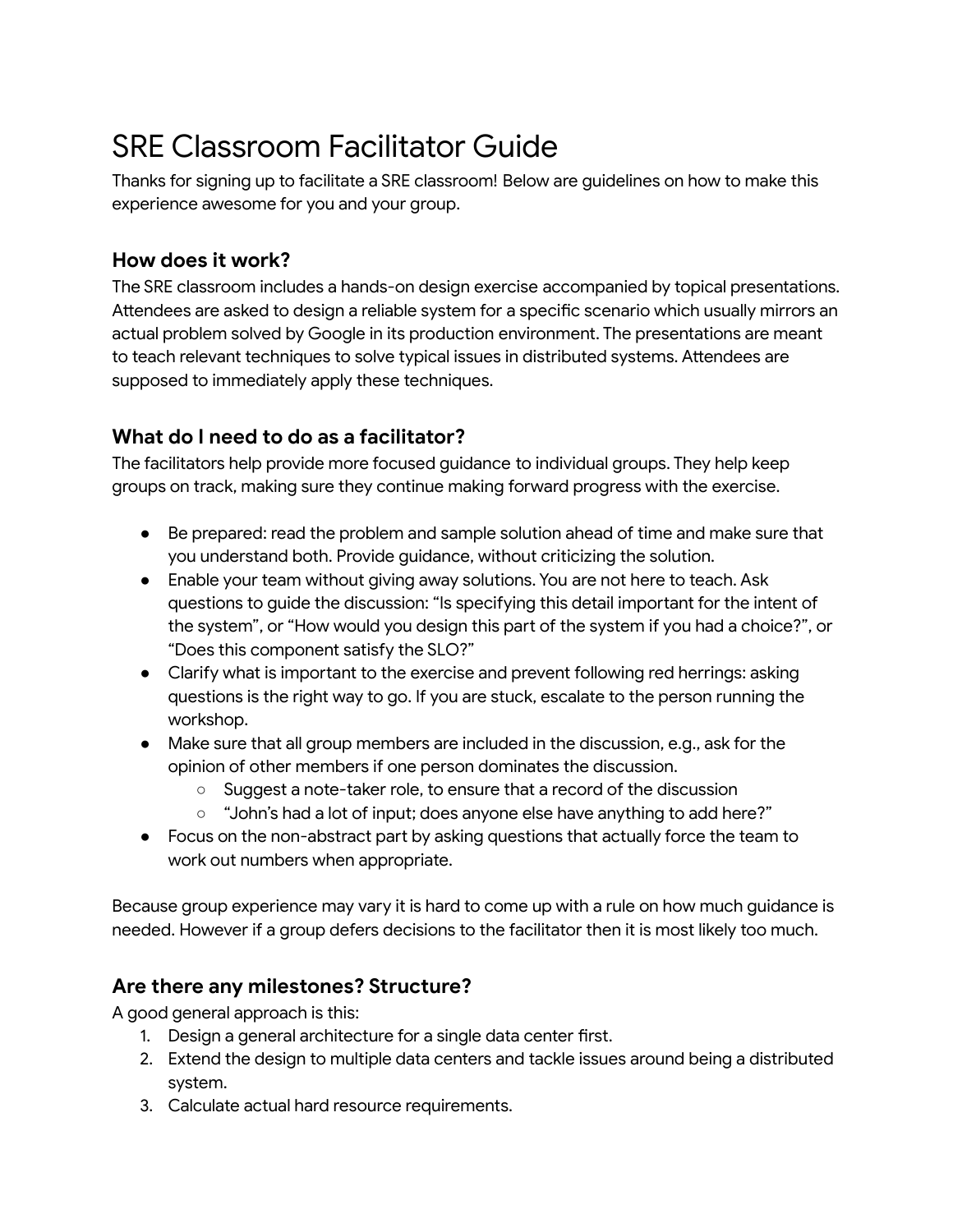# SRE Classroom Facilitator Guide

Thanks for signing up to facilitate a SRE classroom! Below are guidelines on how to make this experience awesome for you and your group.

## **How does it work?**

The SRE classroom includes a hands-on design exercise accompanied by topical presentations. Attendees are asked to design a reliable system for a specific scenario which usually mirrors an actual problem solved by Google in its production environment. The presentations are meant to teach relevant techniques to solve typical issues in distributed systems. Attendees are supposed to immediately apply these techniques.

## **What do I need to do as a facilitator?**

The facilitators help provide more focused guidance to individual groups. They help keep groups on track, making sure they continue making forward progress with the exercise.

- Be prepared: read the problem and sample solution ahead of time and make sure that you understand both. Provide guidance, without criticizing the solution.
- Enable your team without giving away solutions. You are not here to teach. Ask questions to guide the discussion: "Is specifying this detail important for the intent of the system", or "How would you design this part of the system if you had a choice?", or "Does this component satisfy the SLO?"
- Clarify what is important to the exercise and prevent following red herrings: asking questions is the right way to go. If you are stuck, escalate to the person running the workshop.
- Make sure that all group members are included in the discussion, e.g., ask for the opinion of other members if one person dominates the discussion.
	- Suggest a note-taker role, to ensure that a record of the discussion
	- "John's had a lot of input; does anyone else have anything to add here?"
- Focus on the non-abstract part by asking questions that actually force the team to work out numbers when appropriate.

Because group experience may vary it is hard to come up with a rule on how much guidance is needed. However if a group defers decisions to the facilitator then it is most likely too much.

### **Are there any milestones? Structure?**

A good general approach is this:

- 1. Design a general architecture for a single data center first.
- 2. Extend the design to multiple data centers and tackle issues around being a distributed system.
- 3. Calculate actual hard resource requirements.